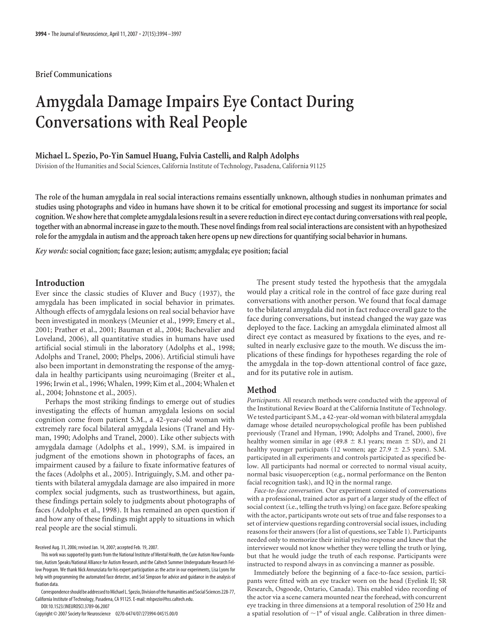# **Brief Communications**

# **Amygdala Damage Impairs Eye Contact During Conversations with Real People**

# **Michael L. Spezio, Po-Yin Samuel Huang, Fulvia Castelli, and Ralph Adolphs**

Division of the Humanities and Social Sciences, California Institute of Technology, Pasadena, California 91125

**The role of the human amygdala in real social interactions remains essentially unknown, although studies in nonhuman primates and studies using photographs and video in humans have shown it to be critical for emotional processing and suggest its importance for social** cognition. We show here that complete amygdala lesions result in a severe reduction in direct eye contact during conversations with real people, **together with an abnormal increase in gazetothe mouth. These novelfindingsfrom real social interactions are consistent with an hypothesized role for the amygdala in autism and the approach taken here opens up new directions for quantifying social behavior in humans.**

*Key words:* **social cognition; face gaze; lesion; autism; amygdala; eye position; facial**

# **Introduction**

Ever since the classic studies of Kluver and Bucy (1937), the amygdala has been implicated in social behavior in primates. Although effects of amygdala lesions on real social behavior have been investigated in monkeys (Meunier et al., 1999; Emery et al., 2001; Prather et al., 2001; Bauman et al., 2004; Bachevalier and Loveland, 2006), all quantitative studies in humans have used artificial social stimuli in the laboratory (Adolphs et al., 1998; Adolphs and Tranel, 2000; Phelps, 2006). Artificial stimuli have also been important in demonstrating the response of the amygdala in healthy participants using neuroimaging (Breiter et al., 1996; Irwin et al., 1996; Whalen, 1999; Kim et al., 2004; Whalen et al., 2004; Johnstone et al., 2005).

Perhaps the most striking findings to emerge out of studies investigating the effects of human amygdala lesions on social cognition come from patient S.M., a 42-year-old woman with extremely rare focal bilateral amygdala lesions (Tranel and Hyman, 1990; Adolphs and Tranel, 2000). Like other subjects with amygdala damage (Adolphs et al., 1999), S.M. is impaired in judgment of the emotions shown in photographs of faces, an impairment caused by a failure to fixate informative features of the faces (Adolphs et al., 2005). Intriguingly, S.M. and other patients with bilateral amygdala damage are also impaired in more complex social judgments, such as trustworthiness, but again, these findings pertain solely to judgments about photographs of faces (Adolphs et al., 1998). It has remained an open question if and how any of these findings might apply to situations in which real people are the social stimuli.

Received Aug. 31, 2006; revised Jan. 14, 2007; accepted Feb. 19, 2007.

This work was supported by grants from the National Institute of Mental Health, the Cure Autism Now Foundation, Autism Speaks/National Alliance for Autism Research, and the Caltech Summer Undergraduate Research Fellow Program. We thank Nick Annunziata for his expert participation as the actor in our experiments, Lisa Lyons for help with programming the automated face detector, and Sol Simpson for advice and guidance in the analysis of fixation data.

Correspondence should be addressed to Michael L. Spezio, Division of the Humanities and Social Sciences 228-77, California Institute of Technology, Pasadena, CA 91125. E-mail: mlspezio@hss.caltech.edu.

DOI:10.1523/JNEUROSCI.3789-06.2007

Copyright © 2007 Society for Neuroscience 0270-6474/07/273994-04\$15.00/0

The present study tested the hypothesis that the amygdala would play a critical role in the control of face gaze during real conversations with another person. We found that focal damage to the bilateral amygdala did not in fact reduce overall gaze to the face during conversations, but instead changed the way gaze was deployed to the face. Lacking an amygdala eliminated almost all direct eye contact as measured by fixations to the eyes, and resulted in nearly exclusive gaze to the mouth. We discuss the implications of these findings for hypotheses regarding the role of the amygdala in the top-down attentional control of face gaze, and for its putative role in autism.

### **Method**

*Participants.* All research methods were conducted with the approval of the Institutional Review Board at the California Institute of Technology. We tested participant S.M., a 42-year-old woman with bilateral amygdala damage whose detailed neuropsychological profile has been published previously (Tranel and Hyman, 1990; Adolphs and Tranel, 2000), five healthy women similar in age (49.8  $\pm$  8.1 years; mean  $\pm$  SD), and 21 healthy younger participants (12 women; age  $27.9 \pm 2.5$  years). S.M. participated in all experiments and controls participated as specified below. All participants had normal or corrected to normal visual acuity, normal basic visuoperception (e.g., normal performance on the Benton facial recognition task), and IQ in the normal range.

*Face-to-face conversation.* Our experiment consisted of conversations with a professional, trained actor as part of a larger study of the effect of social context (i.e., telling the truth vs lying) on face gaze. Before speaking with the actor, participants wrote out sets of true and false responses to a set of interview questions regarding controversial social issues, including reasons for their answers (for a list of questions, see Table 1). Participants needed only to memorize their initial yes/no response and knew that the interviewer would not know whether they were telling the truth or lying, but that he would judge the truth of each response. Participants were instructed to respond always in as convincing a manner as possible.

Immediately before the beginning of a face-to-face session, participants were fitted with an eye tracker worn on the head (Eyelink II; SR Research, Osgoode, Ontario, Canada). This enabled video recording of the actor via a scene camera mounted near the forehead, with concurrent eye tracking in three dimensions at a temporal resolution of 250 Hz and a spatial resolution of  $\sim$  1° of visual angle. Calibration in three dimen-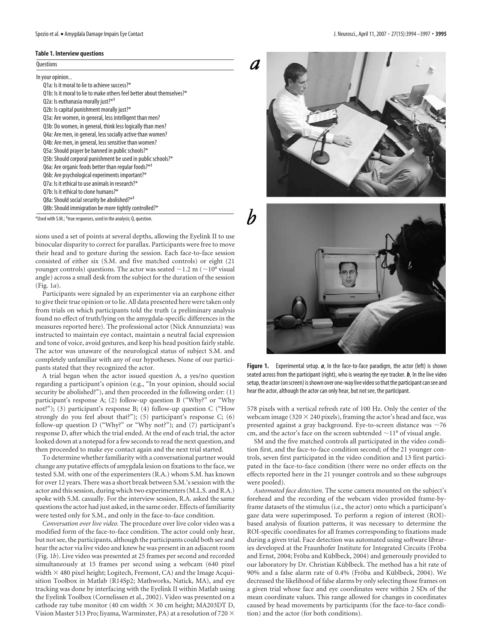#### **Table 1. Interview questions**

| <b>Ouestions</b>                                                      |
|-----------------------------------------------------------------------|
| In your opinion                                                       |
| 01a: Is it moral to lie to achieve success?*                          |
| 01b: Is it moral to lie to make others feel better about themselves?* |
| Q2a: Is euthanasia morally just?* <sup>+</sup>                        |
| Q2b: Is capital punishment morally just?*                             |
| Q3a: Are women, in general, less intelligent than men?                |
| Q3b: Do women, in general, think less logically than men?             |
| Q4a: Are men, in general, less socially active than women?            |
| Q4b: Are men, in general, less sensitive than women?                  |
| Q5a: Should prayer be banned in public schools?*                      |
| Q5b: Should corporal punishment be used in public schools?*           |
| Q6a: Are organic foods better than regular foods?* <sup>*</sup>       |
| Q6b: Are psychological experiments important?*                        |
| 07a: Is it ethical to use animals in research?*                       |
| Q7b: Is it ethical to clone humans?*                                  |
| Q8a: Should social security be abolished?* <sup>+</sup>               |
| Q8b: Should immigration be more tightly controlled?*                  |
| $201 - 1 - 21 - 211 - 1$                                              |

 $*$ Used with S.M.;  $^*$ true responses, used in the analysis; Q, question.

sions used a set of points at several depths, allowing the Eyelink II to use binocular disparity to correct for parallax. Participants were free to move their head and to gesture during the session. Each face-to-face session consisted of either six (S.M. and five matched controls) or eight (21 younger controls) questions. The actor was seated  $\sim$  1.2 m ( $\sim$  10° visual angle) across a small desk from the subject for the duration of the session (Fig. 1*a*).

Participants were signaled by an experimenter via an earphone either to give their true opinion or to lie. All data presented here were taken only from trials on which participants told the truth (a preliminary analysis found no effect of truth/lying on the amygdala-specific differences in the measures reported here). The professional actor (Nick Annunziata) was instructed to maintain eye contact, maintain a neutral facial expression and tone of voice, avoid gestures, and keep his head position fairly stable. The actor was unaware of the neurological status of subject S.M. and completely unfamiliar with any of our hypotheses. None of our participants stated that they recognized the actor.

A trial began when the actor issued question A, a yes/no question regarding a participant's opinion (e.g., "In your opinion, should social security be abolished?"), and then proceeded in the following order: (1) participant's response A; (2) follow-up question B ("Why?" or "Why not?"); (3) participant's response B; (4) follow-up question C ("How strongly do you feel about that?"); (5) participant's response C; (6) follow-up question D ("Why?" or "Why not?"); and (7) participant's response D, after which the trial ended. At the end of each trial, the actor looked down at a notepad for a few seconds to read the next question, and then proceeded to make eye contact again and the next trial started.

To determine whether familiarity with a conversational partner would change any putative effects of amygdala lesion on fixations to the face, we tested S.M. with one of the experimenters (R.A.) whom S.M. has known for over 12 years. There was a short break between S.M.'s session with the actor and this session, during which two experimenters (M.L.S. and R.A.) spoke with S.M. casually. For the interview session, R.A. asked the same questions the actor had just asked, in the same order. Effects of familiarity were tested only for S.M., and only in the face-to-face condition.

*Conversation over live video.* The procedure over live color video was a modified form of the face-to-face condition. The actor could only hear, but not see, the participants, although the participants could both see and hear the actor via live video and knew he was present in an adjacent room (Fig. 1*b*). Live video was presented at 25 frames per second and recorded simultaneously at 15 frames per second using a webcam (640 pixel width  $\times$  480 pixel height; Logitech, Fremont, CA) and the Image Acquisition Toolbox in Matlab (R14Sp2; Mathworks, Natick, MA), and eye tracking was done by interfacing with the Eyelink II within Matlab using the Eyelink Toolbox (Cornelissen et al., 2002). Video was presented on a cathode ray tube monitor (40 cm width  $\times$  30 cm height; MA203DT D, Vision Master 513 Pro; Iiyama, Warminster, PA) at a resolution of 720  $\times$ 





 $\boldsymbol{h}$ 

**Figure 1.** Experimental setup.  $a$ , In the face-to-face paradigm, the actor (left) is shown seated across from the participant (right), who is wearing the eye tracker. *b*, In the live video setup, the actor (on screen) is shown over one-way live video so that the participant can see and hear the actor, although the actor can only hear, but not see, the participant.

578 pixels with a vertical refresh rate of 100 Hz. Only the center of the webcam image ( $320 \times 240$  pixels), framing the actor's head and face, was presented against a gray background. Eye-to-screen distance was  ${\sim}76$ cm, and the actor's face on the screen subtended  $\sim$ 11° of visual angle.

SM and the five matched controls all participated in the video condition first, and the face-to-face condition second; of the 21 younger controls, seven first participated in the video condition and 13 first participated in the face-to-face condition (there were no order effects on the effects reported here in the 21 younger controls and so these subgroups were pooled).

*Automated face detection.* The scene camera mounted on the subject's forehead and the recording of the webcam video provided frame-byframe datasets of the stimulus (i.e., the actor) onto which a participant's gaze data were superimposed. To perform a region of interest (ROI) based analysis of fixation patterns, it was necessary to determine the ROI-specific coordinates for all frames corresponding to fixations made during a given trial. Face detection was automated using software libraries developed at the Fraunhofer Institute for Integrated Circuits (Fröba and Ernst, 2004; Fröba and Küblbeck, 2004) and generously provided to our laboratory by Dr. Christian Küblbeck. The method has a hit rate of 90% and a false alarm rate of 0.4% (Fröba and Küblbeck, 2004). We decreased the likelihood of false alarms by only selecting those frames on a given trial whose face and eye coordinates were within 2 SDs of the mean coordinate values. This range allowed for changes in coordinates caused by head movements by participants (for the face-to-face condition) and the actor (for both conditions).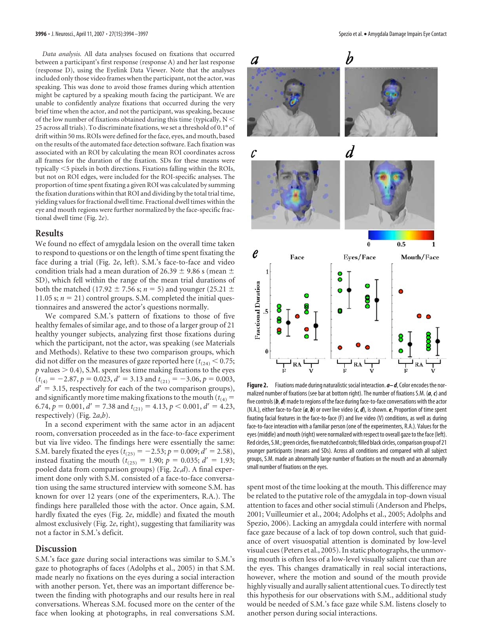*Data analysis.* All data analyses focused on fixations that occurred between a participant's first response (response A) and her last response (response D), using the Eyelink Data Viewer. Note that the analyses included only those video frames when the participant, not the actor, was speaking. This was done to avoid those frames during which attention might be captured by a speaking mouth facing the participant. We are unable to confidently analyze fixations that occurred during the very brief time when the actor, and not the participant, was speaking, because of the low number of fixations obtained during this time (typically, N 25 across all trials). To discriminate fixations, we set a threshold of 0.1° of drift within 50 ms. ROIs were defined for the face, eyes, and mouth, based on the results of the automated face detection software. Each fixation was associated with an ROI by calculating the mean ROI coordinates across all frames for the duration of the fixation. SDs for these means were typically 5 pixels in both directions. Fixations falling within the ROIs, but not on ROI edges, were included for the ROI-specific analyses. The proportion of time spent fixating a given ROI was calculated by summing the fixation durations within that ROI and dividing by the total trial time, yielding values for fractional dwell time. Fractional dwell times within the eye and mouth regions were further normalized by the face-specific fractional dwell time (Fig. 2*e*).

## **Results**

We found no effect of amygdala lesion on the overall time taken to respond to questions or on the length of time spent fixating the face during a trial (Fig. 2*e*, left). S.M.'s face-to-face and video condition trials had a mean duration of 26.39  $\pm$  9.86 s (mean  $\pm$ SD), which fell within the range of the mean trial durations of both the matched (17.92  $\pm$  7.56 s; *n* = 5) and younger (25.21  $\pm$ 11.05 s;  $n = 21$ ) control groups. S.M. completed the initial questionnaires and answered the actor's questions normally.

We compared S.M.'s pattern of fixations to those of five healthy females of similar age, and to those of a larger group of 21 healthy younger subjects, analyzing first those fixations during which the participant, not the actor, was speaking (see Materials and Methods). Relative to these two comparison groups, which did not differ on the measures of gaze reported here ( $t_{(24)}$  < 0.75;  $p$  values  $> 0.4$ ), S.M. spent less time making fixations to the eyes  $(t_{(4)} = -2.87, p = 0.023, d' = 3.13 \text{ and } t_{(21)} = -3.06, p = 0.003,$  $d' = 3.15$ , respectively for each of the two comparison groups), and significantly more time making fixations to the mouth  $(t_{(4)})$ 6.74,  $p = 0.001$ ,  $d' = 7.38$  and  $t_{(21)} = 4.13$ ,  $p < 0.001$ ,  $d' = 4.23$ , respectively) (Fig. 2*a*,*b*).

In a second experiment with the same actor in an adjacent room, conversation proceeded as in the face-to-face experiment but via live video. The findings here were essentially the same: S.M. barely fixated the eyes ( $t_{(25)} = -2.53$ ;  $p = 0.009$ ;  $d' = 2.58$ ), instead fixating the mouth  $(t_{(25)} = 1.90; p = 0.035; d' = 1.93;$ pooled data from comparison groups) (Fig. 2*c*,*d*). A final experiment done only with S.M. consisted of a face-to-face conversation using the same structured interview with someone S.M. has known for over 12 years (one of the experimenters, R.A.). The findings here paralleled those with the actor. Once again, S.M. hardly fixated the eyes (Fig. 2*e*, middle) and fixated the mouth almost exclusively (Fig. 2*e*, right), suggesting that familiarity was not a factor in S.M.'s deficit.

# **Discussion**

S.M.'s face gaze during social interactions was similar to S.M.'s gaze to photographs of faces (Adolphs et al., 2005) in that S.M. made nearly no fixations on the eyes during a social interaction with another person. Yet, there was an important difference between the finding with photographs and our results here in real conversations. Whereas S.M. focused more on the center of the face when looking at photographs, in real conversations S.M.



**Figure 2.** Fixations made during naturalistic social interaction.  $a-d$ , Color encodes the normalized number of fixations (see bar at bottom right). The number of fixations S.M. (*a*, *c*) and five controls (*b*, *d*) made to regions of the face during face-to-face conversations with the actor (N.A.), either face-to-face (*a*, *b*) or over live video (*c*, *d*), is shown.*e*, Proportion of time spent fixating facial features in the face-to-face (F) and live video (V) conditions, as well as during face-to-face interaction with a familiar person (one of the experimenters, R.A.). Values for the eyes (middle) and mouth (right) were normalized with respect to overall gaze to the face (left). Red circles, S.M.; green circles, five matched controls; filled black circles, comparison group of 21 younger participants (means and SDs). Across all conditions and compared with all subject groups, S.M. made an abnormally large number of fixations on the mouth and an abnormally small number of fixations on the eyes.

spent most of the time looking at the mouth. This difference may be related to the putative role of the amygdala in top-down visual attention to faces and other social stimuli (Anderson and Phelps, 2001; Vuilleumier et al., 2004; Adolphs et al., 2005; Adolphs and Spezio, 2006). Lacking an amygdala could interfere with normal face gaze because of a lack of top down control, such that guidance of overt visuospatial attention is dominated by low-level visual cues (Peters et al., 2005). In static photographs, the unmoving mouth is often less of a low-level visually salient cue than are the eyes. This changes dramatically in real social interactions, however, where the motion and sound of the mouth provide highly visually and aurally salient attentional cues. To directly test this hypothesis for our observations with S.M., additional study would be needed of S.M.'s face gaze while S.M. listens closely to another person during social interactions.